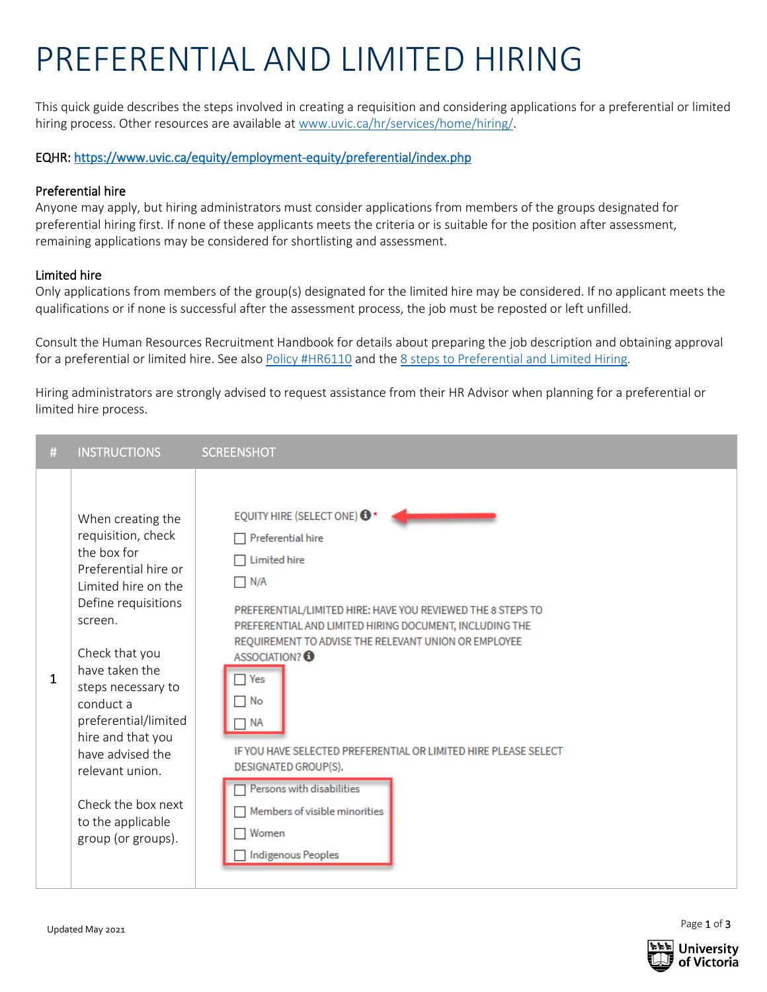## PREFERENTIAL AND LIMITED HIRING

This quick guide describes the steps involved in creating a requisition and considering applications for a preferential or limited hiring process. Other resources are available a[t www.uvic.ca/hr/services/home/hiring/.](http://www.uvic.ca/hr/services/home/hiring/)

EQHR:<https://www.uvic.ca/equity/employment-equity/preferential/index.php>

## Preferential hire

Anyone may apply, but hiring administrators must consider applications from members of the groups designated for preferential hiring first. If none of these applicants meets the criteria or is suitable for the position after assessment, remaining applications may be considered for shortlisting and assessment.

## Limited hire

Only applications from members of the group(s) designated for the limited hire may be considered. If no applicant meets the qualifications or if none is successful after the assessment process, the job must be reposted or left unfilled.

Consult the Human Resource[s Recruitment Handbook](https://www.uvic.ca/hr/assets/docs/recruitment/Recruitment%20Workbook.pdf) for details about preparing the job description and obtaining approval for a preferential or limited hire. See also [Policy #HR6110](https://www.uvic.ca/universitysecretary/assets/docs/policies/HR6110_3100_.pdf) and th[e 8 steps to Preferential and Limited Hiring.](https://www.uvic.ca/hr/assets/docs/recruitment/8%20Steps%20to%20Preferential%20and%20Limited%20Hiring.pdf)

Hiring administrators are strongly advised to request assistance from their HR Advisor when planning for a preferential or limited hire process.

| #            | <b>INSTRUCTIONS</b>                                                                                                                                                                                                                                                                                                                                                 | <b>SCREENSHOT</b>                                                                                                                                                                                                                                                                                                                                                                                                                                                                                                                                     |
|--------------|---------------------------------------------------------------------------------------------------------------------------------------------------------------------------------------------------------------------------------------------------------------------------------------------------------------------------------------------------------------------|-------------------------------------------------------------------------------------------------------------------------------------------------------------------------------------------------------------------------------------------------------------------------------------------------------------------------------------------------------------------------------------------------------------------------------------------------------------------------------------------------------------------------------------------------------|
| $\mathbf{1}$ | When creating the<br>requisition, check<br>the box for<br>Preferential hire or<br>Limited hire on the<br>Define requisitions<br>screen.<br>Check that you<br>have taken the<br>steps necessary to<br>conduct a<br>preferential/limited<br>hire and that you<br>have advised the<br>relevant union.<br>Check the box next<br>to the applicable<br>group (or groups). | EQUITY HIRE (SELECT ONE) <sup>+</sup><br>Preferential hire<br><b>Limited hire</b><br>$\Box$ N/A<br>PREFERENTIAL/LIMITED HIRE: HAVE YOU REVIEWED THE 8 STEPS TO<br>PREFERENTIAL AND LIMITED HIRING DOCUMENT, INCLUDING THE<br>REQUIREMENT TO ADVISE THE RELEVANT UNION OR EMPLOYEE<br>ASSOCIATION? <sup>1</sup><br>Yes<br>$\neg$ No<br>$\neg$ NA<br>IF YOU HAVE SELECTED PREFERENTIAL OR LIMITED HIRE PLEASE SELECT<br>DESIGNATED GROUP(S).<br>Persons with disabilities<br>Members of visible minorities<br>Women<br>- 1<br><b>Indigenous Peoples</b> |



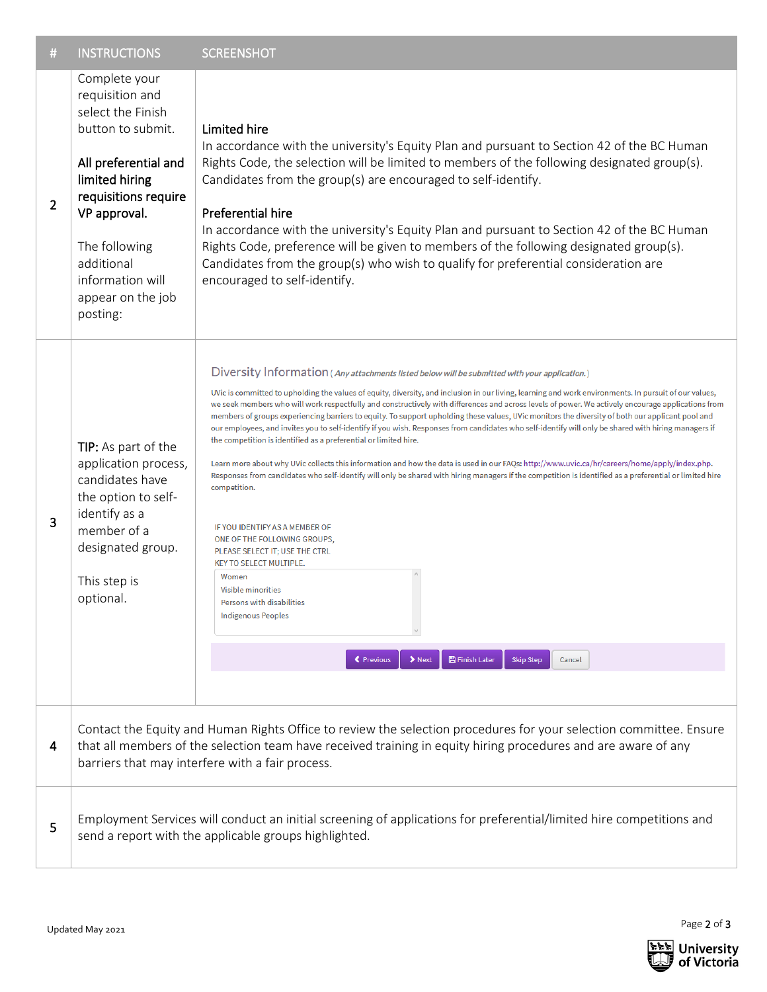| #              | <b>INSTRUCTIONS</b>                                                                                                                                                                                                                                                                      | <b>SCREENSHOT</b>                                                                                                                                                                                                                                                                                                                                                                                                                                                                                                                                                                                                                                                                                                                                                                                                                                                                                                                                                                                                                                                                                                                                                                                                                                                                                                                                                                                                                                                         |  |
|----------------|------------------------------------------------------------------------------------------------------------------------------------------------------------------------------------------------------------------------------------------------------------------------------------------|---------------------------------------------------------------------------------------------------------------------------------------------------------------------------------------------------------------------------------------------------------------------------------------------------------------------------------------------------------------------------------------------------------------------------------------------------------------------------------------------------------------------------------------------------------------------------------------------------------------------------------------------------------------------------------------------------------------------------------------------------------------------------------------------------------------------------------------------------------------------------------------------------------------------------------------------------------------------------------------------------------------------------------------------------------------------------------------------------------------------------------------------------------------------------------------------------------------------------------------------------------------------------------------------------------------------------------------------------------------------------------------------------------------------------------------------------------------------------|--|
| $\overline{2}$ | Complete your<br>requisition and<br>select the Finish<br>button to submit.<br>All preferential and<br>limited hiring<br>requisitions require<br>VP approval.<br>The following<br>additional<br>information will<br>appear on the job<br>posting:                                         | Limited hire<br>In accordance with the university's Equity Plan and pursuant to Section 42 of the BC Human<br>Rights Code, the selection will be limited to members of the following designated group(s).<br>Candidates from the group(s) are encouraged to self-identify.<br><b>Preferential hire</b><br>In accordance with the university's Equity Plan and pursuant to Section 42 of the BC Human<br>Rights Code, preference will be given to members of the following designated group(s).<br>Candidates from the group(s) who wish to qualify for preferential consideration are<br>encouraged to self-identify.                                                                                                                                                                                                                                                                                                                                                                                                                                                                                                                                                                                                                                                                                                                                                                                                                                                     |  |
| 3              | TIP: As part of the<br>application process,<br>candidates have<br>the option to self-<br>identify as a<br>member of a<br>designated group.<br>This step is<br>optional.                                                                                                                  | Diversity Information (Any attachments listed below will be submitted with your application.)<br>UVic is committed to upholding the values of equity, diversity, and inclusion in our living, learning and work environments. In pursuit of our values,<br>we seek members who will work respectfully and constructively with differences and across levels of power. We actively encourage applications from<br>members of groups experiencing barriers to equity. To support upholding these values, UVic monitors the diversity of both our applicant pool and<br>our employees, and invites you to self-identify if you wish. Responses from candidates who self-identify will only be shared with hiring managers if<br>the competition is identified as a preferential or limited hire.<br>Learn more about why UVic collects this information and how the data is used in our FAQs: http://www.uvic.ca/hr/careers/home/apply/index.php.<br>Responses from candidates who self-identify will only be shared with hiring managers if the competition is identified as a preferential or limited hire<br>competition.<br>IF YOU IDENTIFY AS A MEMBER OF<br>ONE OF THE FOLLOWING GROUPS,<br>PLEASE SELECT IT; USE THE CTRL<br><b>KEY TO SELECT MULTIPLE.</b><br>Women<br><b>Visible minorities</b><br>Persons with disabilities<br><b>Indigenous Peoples</b><br>$\blacktriangleright$ Next<br><b>图 Finish Later</b><br><b>≮</b> Previous<br><b>Skip Step</b><br>Cancel |  |
| 4              | Contact the Equity and Human Rights Office to review the selection procedures for your selection committee. Ensure<br>that all members of the selection team have received training in equity hiring procedures and are aware of any<br>barriers that may interfere with a fair process. |                                                                                                                                                                                                                                                                                                                                                                                                                                                                                                                                                                                                                                                                                                                                                                                                                                                                                                                                                                                                                                                                                                                                                                                                                                                                                                                                                                                                                                                                           |  |
| 5              | Employment Services will conduct an initial screening of applications for preferential/limited hire competitions and<br>send a report with the applicable groups highlighted.                                                                                                            |                                                                                                                                                                                                                                                                                                                                                                                                                                                                                                                                                                                                                                                                                                                                                                                                                                                                                                                                                                                                                                                                                                                                                                                                                                                                                                                                                                                                                                                                           |  |